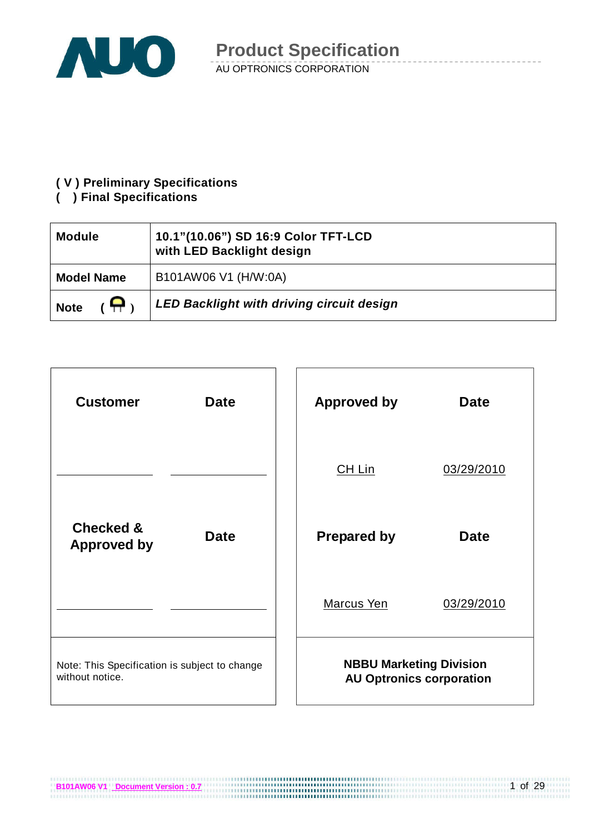

#### **( V ) Preliminary Specifications**

#### **( ) Final Specifications**

| <b>Module</b>                    | 10.1"(10.06") SD 16:9 Color TFT-LCD<br>with LED Backlight design |
|----------------------------------|------------------------------------------------------------------|
| <b>Model Name</b>                | B101AW06 V1 (H/W:0A)                                             |
| $\mathbf{\Omega}$<br><b>Note</b> | <b>LED Backlight with driving circuit design</b>                 |

| <b>Customer</b>                                                  | <b>Date</b> | <b>Approved by</b>             | <b>Date</b>                     |  |
|------------------------------------------------------------------|-------------|--------------------------------|---------------------------------|--|
|                                                                  |             | CH Lin                         | 03/29/2010                      |  |
| <b>Checked &amp;</b><br><b>Approved by</b>                       | <b>Date</b> | <b>Prepared by</b>             | <b>Date</b>                     |  |
|                                                                  |             | Marcus Yen                     | 03/29/2010                      |  |
| Note: This Specification is subject to change<br>without notice. |             | <b>NBBU Marketing Division</b> | <b>AU Optronics corporation</b> |  |

**B101AW06 V1** Document Version : 0.7<br>**B101AW06 V1** Document Version : 0.7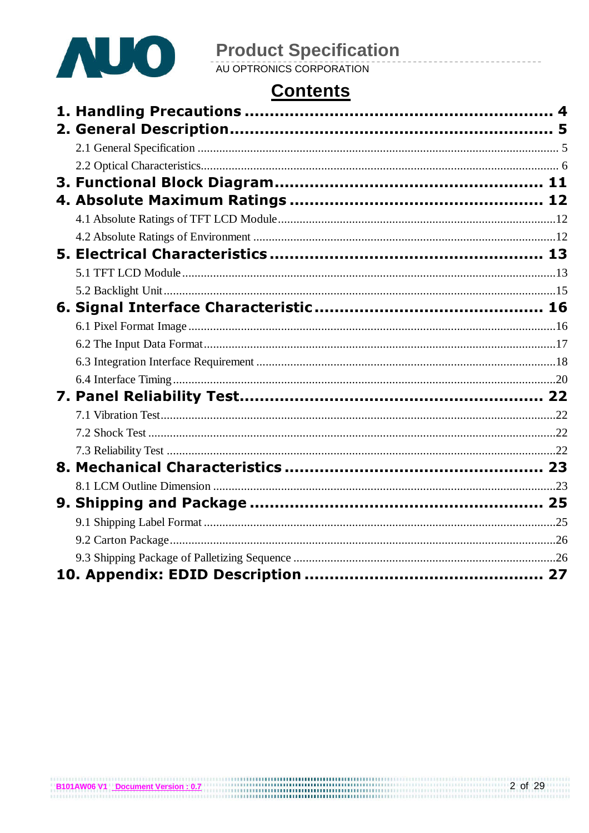

# **Product Specification**<br>AU OPTRONICS CORPORATION

# **Contents**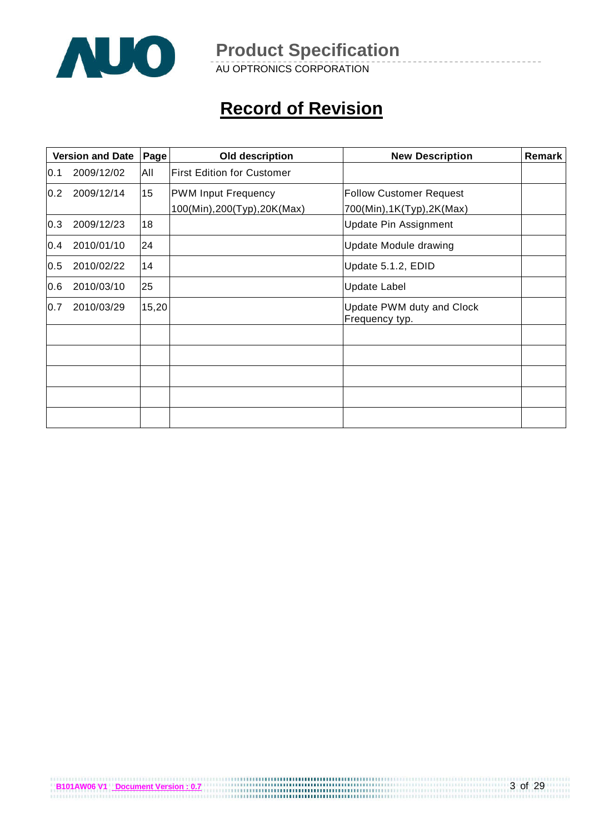

AU OPTRONICS CORPORATION

# **Record of Revision**

|     | <b>Version and Date</b> | Page            | Old description                                            | <b>New Description</b>                                     | <b>Remark</b> |
|-----|-------------------------|-----------------|------------------------------------------------------------|------------------------------------------------------------|---------------|
| 0.1 | 2009/12/02              | All             | <b>First Edition for Customer</b>                          |                                                            |               |
| 0.2 | 2009/12/14              | 15 <sub>1</sub> | <b>PWM Input Frequency</b><br>100(Min), 200(Typ), 20K(Max) | <b>Follow Customer Request</b><br>700(Min),1K(Typ),2K(Max) |               |
| 0.3 | 2009/12/23              | 18              |                                                            | <b>Update Pin Assignment</b>                               |               |
| 0.4 | 2010/01/10              | 24              |                                                            | Update Module drawing                                      |               |
| 0.5 | 2010/02/22              | 14              |                                                            | Update 5.1.2, EDID                                         |               |
| 0.6 | 2010/03/10              | 25              |                                                            | <b>Update Label</b>                                        |               |
| 0.7 | 2010/03/29              | 15,20           |                                                            | Update PWM duty and Clock<br>Frequency typ.                |               |
|     |                         |                 |                                                            |                                                            |               |
|     |                         |                 |                                                            |                                                            |               |
|     |                         |                 |                                                            |                                                            |               |
|     |                         |                 |                                                            |                                                            |               |
|     |                         |                 |                                                            |                                                            |               |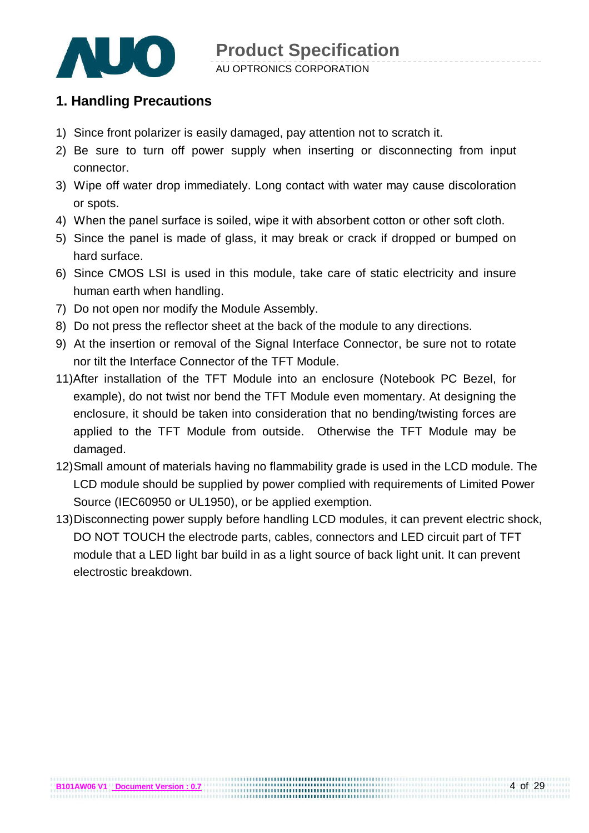

### **1. Handling Precautions**

- 1) Since front polarizer is easily damaged, pay attention not to scratch it.
- 2) Be sure to turn off power supply when inserting or disconnecting from input connector.
- 3) Wipe off water drop immediately. Long contact with water may cause discoloration or spots.
- 4) When the panel surface is soiled, wipe it with absorbent cotton or other soft cloth.
- 5) Since the panel is made of glass, it may break or crack if dropped or bumped on hard surface.
- 6) Since CMOS LSI is used in this module, take care of static electricity and insure human earth when handling.
- 7) Do not open nor modify the Module Assembly.
- 8) Do not press the reflector sheet at the back of the module to any directions.
- 9) At the insertion or removal of the Signal Interface Connector, be sure not to rotate nor tilt the Interface Connector of the TFT Module.
- 11)After installation of the TFT Module into an enclosure (Notebook PC Bezel, for example), do not twist nor bend the TFT Module even momentary. At designing the enclosure, it should be taken into consideration that no bending/twisting forces are applied to the TFT Module from outside. Otherwise the TFT Module may be damaged.
- 12) Small amount of materials having no flammability grade is used in the LCD module. The LCD module should be supplied by power complied with requirements of Limited Power Source (IEC60950 or UL1950), or be applied exemption.
- 13) Disconnecting power supply before handling LCD modules, it can prevent electric shock, DO NOT TOUCH the electrode parts, cables, connectors and LED circuit part of TFT module that a LED light bar build in as a light source of back light unit. It can prevent electrostic breakdown.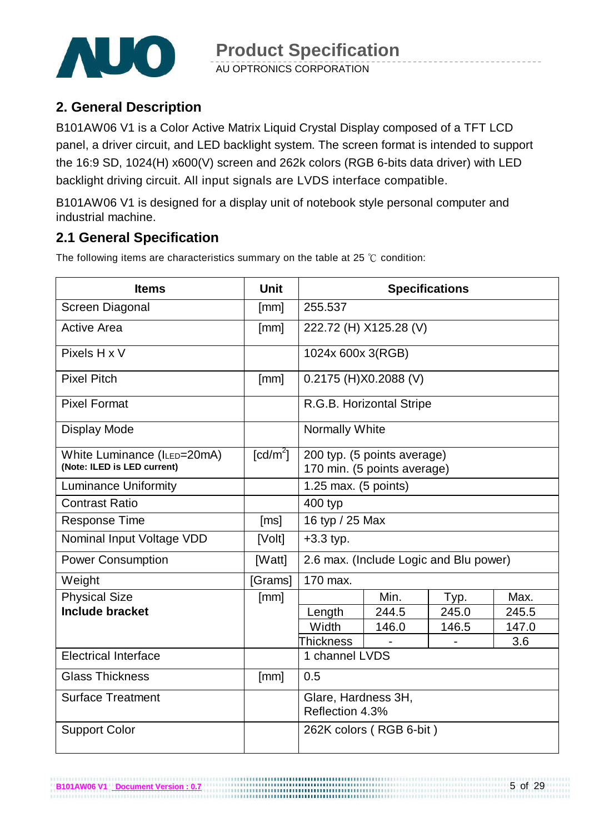

### **2. General Description**

B101AW06 V1 is a Color Active Matrix Liquid Crystal Display composed of a TFT LCD panel, a driver circuit, and LED backlight system. The screen format is intended to support the 16:9 SD, 1024(H) x600(V) screen and 262k colors (RGB 6-bits data driver) with LED backlight driving circuit. All input signals are LVDS interface compatible.

B101AW06 V1 is designed for a display unit of notebook style personal computer and industrial machine.

### **2.1 General Specification**

**B101AW06 V1 Document Version : 0.7**

The following items are characteristics summary on the table at 25 ℃ condition:

| <b>Items</b>                                               | <b>Unit</b>            |                                        |                                                            | <b>Specifications</b> |       |  |
|------------------------------------------------------------|------------------------|----------------------------------------|------------------------------------------------------------|-----------------------|-------|--|
| Screen Diagonal                                            | [mm]                   | 255.537                                |                                                            |                       |       |  |
| <b>Active Area</b>                                         | [mm]                   | 222.72 (H) X125.28 (V)                 |                                                            |                       |       |  |
| Pixels H x V                                               |                        | 1024x 600x 3(RGB)                      |                                                            |                       |       |  |
| <b>Pixel Pitch</b>                                         | [mm]                   |                                        | 0.2175 (H)X0.2088 (V)                                      |                       |       |  |
| <b>Pixel Format</b>                                        |                        |                                        | R.G.B. Horizontal Stripe                                   |                       |       |  |
| <b>Display Mode</b>                                        |                        | Normally White                         |                                                            |                       |       |  |
| White Luminance (ILED=20mA)<br>(Note: ILED is LED current) | $\lceil cd/m^2 \rceil$ |                                        | 200 typ. (5 points average)<br>170 min. (5 points average) |                       |       |  |
| <b>Luminance Uniformity</b>                                |                        | 1.25 max. (5 points)                   |                                                            |                       |       |  |
| <b>Contrast Ratio</b>                                      |                        | 400 typ                                |                                                            |                       |       |  |
| <b>Response Time</b>                                       | [ms]                   | 16 typ / 25 Max                        |                                                            |                       |       |  |
| Nominal Input Voltage VDD                                  | [Volt]                 | $+3.3$ typ.                            |                                                            |                       |       |  |
| <b>Power Consumption</b>                                   | [Watt]                 |                                        | 2.6 max. (Include Logic and Blu power)                     |                       |       |  |
| Weight                                                     | [Grams]                | 170 max.                               |                                                            |                       |       |  |
| <b>Physical Size</b>                                       | [mm]                   |                                        | Min.                                                       | Typ.                  | Max.  |  |
| <b>Include bracket</b>                                     |                        | Length                                 | 244.5                                                      | 245.0                 | 245.5 |  |
|                                                            |                        | Width                                  | 146.0                                                      | 146.5                 | 147.0 |  |
|                                                            |                        | Thickness                              |                                                            |                       | 3.6   |  |
| <b>Electrical Interface</b>                                |                        | 1 channel LVDS                         |                                                            |                       |       |  |
| <b>Glass Thickness</b>                                     | [mm]                   | 0.5                                    |                                                            |                       |       |  |
| <b>Surface Treatment</b>                                   |                        | Glare, Hardness 3H,<br>Reflection 4.3% |                                                            |                       |       |  |
| <b>Support Color</b>                                       |                        |                                        | 262K colors (RGB 6-bit)                                    |                       |       |  |

...................................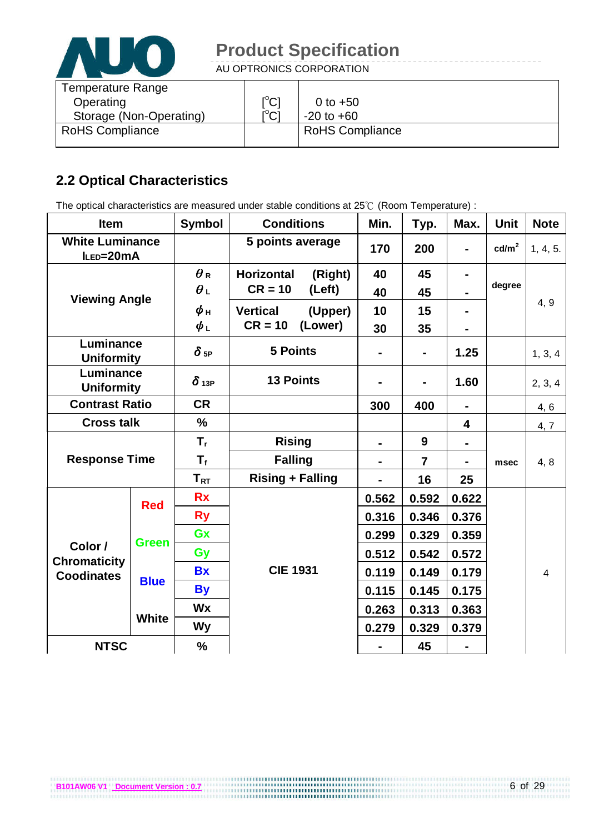

AU OPTRONICS CORPORATION

| Temperature Range       |                                |                        |
|-------------------------|--------------------------------|------------------------|
| Operating               | $\mathsf{I}^\circ\mathsf{C}$   | 0 to $+50$             |
| Storage (Non-Operating) | $\mathsf{I}^{\circ}\mathsf{C}$ | $-20$ to $+60$         |
| <b>RoHS Compliance</b>  |                                | <b>RoHS Compliance</b> |
|                         |                                |                        |

### **2.2 Optical Characteristics**

The optical characteristics are measured under stable conditions at 25℃ (Room Temperature) :

| <b>Item</b>                         |              | <b>Symbol</b>               | <b>Conditions</b>            | Min.           | Typ.           | Max.                    | <b>Unit</b>     | <b>Note</b>    |
|-------------------------------------|--------------|-----------------------------|------------------------------|----------------|----------------|-------------------------|-----------------|----------------|
| <b>White Luminance</b><br>ILED=20mA |              |                             | 5 points average             | 170            | 200            | $\blacksquare$          | $\text{cd/m}^2$ | 1, 4, 5.       |
| <b>Viewing Angle</b>                |              | $\theta_{\,\text{\tiny R}}$ | <b>Horizontal</b><br>(Right) | 40             | 45             |                         |                 |                |
|                                     |              | $\theta_L$                  | $CR = 10$<br>(Left)          | 40             | 45             |                         | degree          | 4, 9           |
|                                     |              | $\phi$ н                    | <b>Vertical</b><br>(Upper)   | 10             | 15             |                         |                 |                |
|                                     |              | $\phi_L$                    | $CR = 10$<br>(Lower)         | 30             | 35             |                         |                 |                |
| Luminance<br><b>Uniformity</b>      |              | $\delta$ 5P                 | <b>5 Points</b>              | Ξ.             | $\blacksquare$ | 1.25                    |                 | 1, 3, 4        |
| Luminance<br><b>Uniformity</b>      |              | $\delta$ 13P                | <b>13 Points</b>             |                | $\blacksquare$ | 1.60                    |                 | 2, 3, 4        |
| <b>CR</b><br><b>Contrast Ratio</b>  |              | 300                         | 400                          | $\blacksquare$ |                | 4, 6                    |                 |                |
| <b>Cross talk</b>                   |              | $\frac{0}{0}$               |                              |                |                | $\overline{\mathbf{4}}$ |                 | 4, 7           |
|                                     |              | T,                          | <b>Rising</b>                | Ξ.             | 9              |                         |                 |                |
| <b>Response Time</b>                |              | $\mathsf{T}_{\mathsf{f}}$   | <b>Falling</b>               |                | $\overline{7}$ |                         | msec            | 4, 8           |
|                                     |              | $T_{RT}$                    | <b>Rising + Falling</b>      |                | 16             | 25                      |                 |                |
|                                     | <b>Red</b>   | <b>Rx</b>                   |                              | 0.562          | 0.592          | 0.622                   |                 |                |
|                                     |              | <b>Ry</b>                   |                              | 0.316          | 0.346          | 0.376                   |                 |                |
|                                     | <b>Green</b> | Gx                          |                              | 0.299          | 0.329          | 0.359                   |                 |                |
| Color /<br><b>Chromaticity</b>      |              | Gy                          |                              | 0.512          | 0.542          | 0.572                   |                 |                |
| <b>Coodinates</b>                   |              | <b>Bx</b>                   | <b>CIE 1931</b>              | 0.119          | 0.149          | 0.179                   |                 | $\overline{4}$ |
|                                     | <b>Blue</b>  | <b>By</b>                   |                              | 0.115          | 0.145          | 0.175                   |                 |                |
|                                     |              | <b>Wx</b>                   |                              | 0.263          | 0.313          | 0.363                   |                 |                |
|                                     | <b>White</b> | <b>Wy</b>                   |                              | 0.279          | 0.329          | 0.379                   |                 |                |
| <b>NTSC</b>                         |              | %                           |                              |                | 45             |                         |                 |                |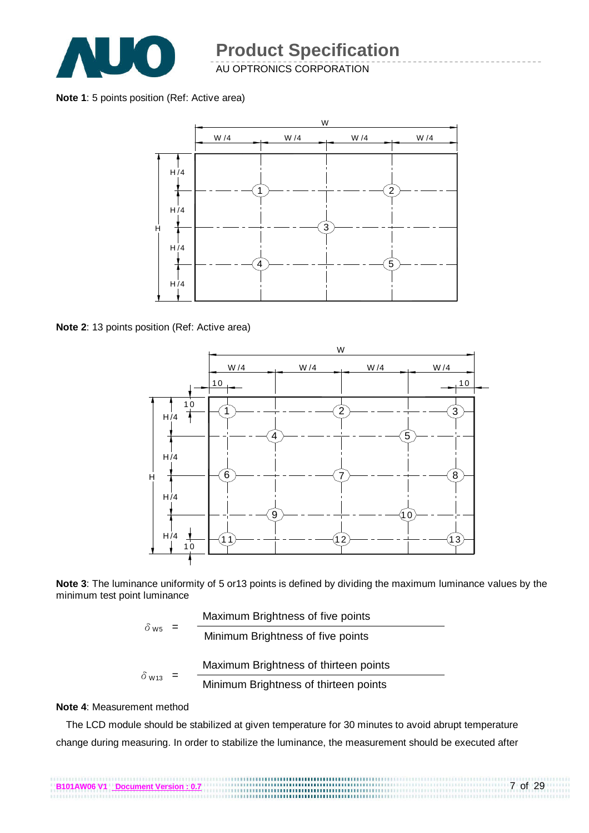

#### **Note 1**: 5 points position (Ref: Active area)



**Note 2**: 13 points position (Ref: Active area)



**Note 3**: The luminance uniformity of 5 or13 points is defined by dividing the maximum luminance values by the minimum test point luminance

|                           | Maximum Brightness of five points     |
|---------------------------|---------------------------------------|
| $\delta$ w <sub>5</sub> = | Minimum Brightness of five points     |
|                           | Maximum Brightness of thirteen points |
| $\delta_{W13}$ =          | Minimum Brightness of thirteen points |

#### **Note 4**: Measurement method

The LCD module should be stabilized at given temperature for 30 minutes to avoid abrupt temperature change during measuring. In order to stabilize the luminance, the measurement should be executed after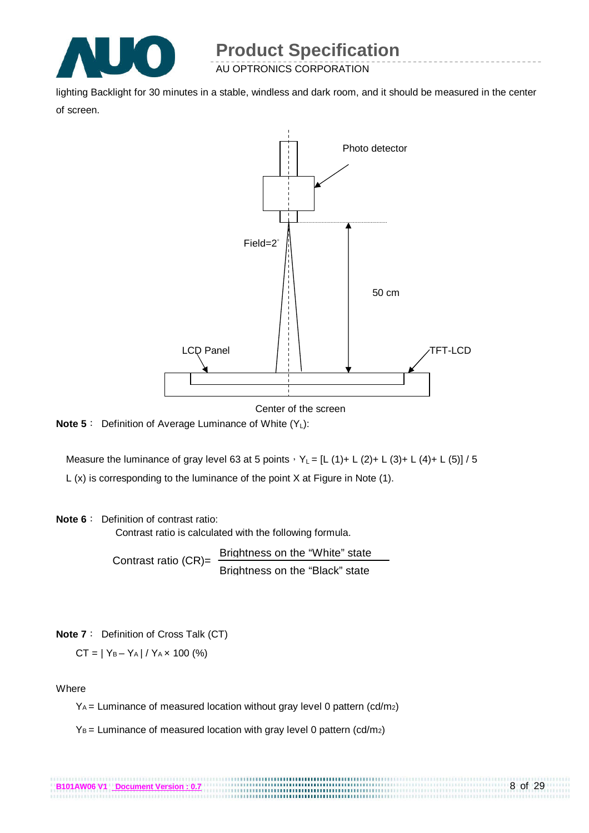

lighting Backlight for 30 minutes in a stable, windless and dark room, and it should be measured in the center of screen.



Center of the screen

..............................

**Note 5**: Definition of Average Luminance of White (Y<sub>L</sub>):

Measure the luminance of gray level 63 at 5 points,  $Y_L = [L (1) + L (2) + L (3) + L (4) + L (5)] / 5$ L (x) is corresponding to the luminance of the point X at Figure in Note (1).

#### **Note 6**: Definition of contrast ratio:

Contrast ratio is calculated with the following formula.

Contrast ratio (CR)= Brightness on the "White" state Brightness on the "Black" state

**Note 7**: Definition of Cross Talk (CT)

$$
CT = |Y_B - Y_A| / Y_A \times 100 \, (\%)
$$

#### **Where**

YA = Luminance of measured location without gray level 0 pattern (cd/m2)

 $Y_B$  = Luminance of measured location with gray level 0 pattern (cd/m<sub>2</sub>)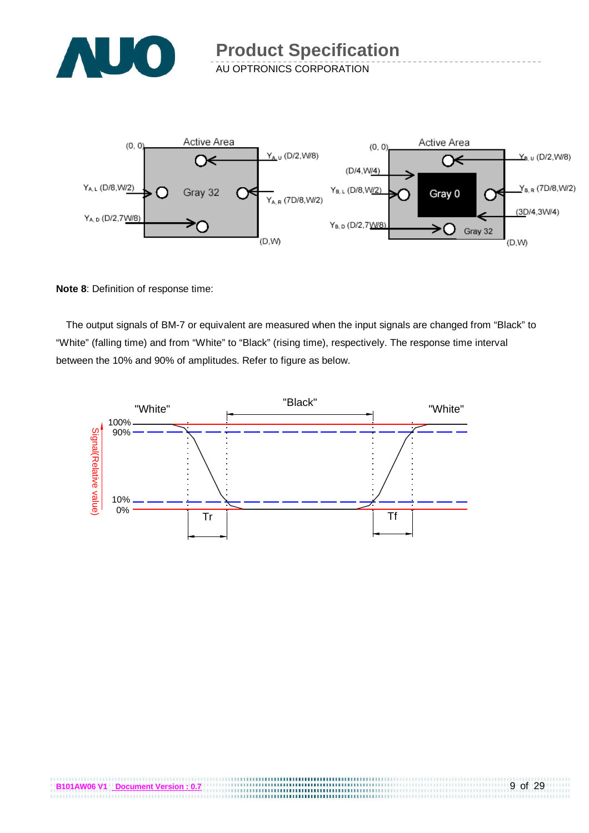



**Note 8**: Definition of response time:

The output signals of BM-7 or equivalent are measured when the input signals are changed from "Black" to "White" (falling time) and from "White" to "Black" (rising time), respectively. The response time interval between the 10% and 90% of amplitudes. Refer to figure as below.

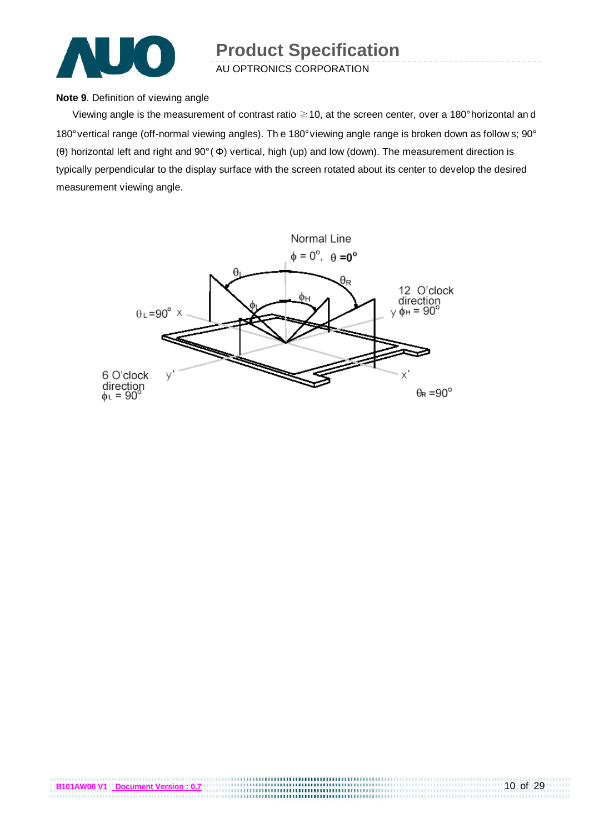

#### **Note 9**. Definition of viewing angle

Viewing angle is the measurement of contrast ratio ≧10, at the screen center, over a 180° horizontal an d 180° vertical range (off-normal viewing angles). Th e 180° viewing angle range is broken down as follow s; 90° (θ) horizontal left and right and 90° ( Φ) vertical, high (up) and low (down). The measurement direction is typically perpendicular to the display surface with the screen rotated about its center to develop the desired measurement viewing angle.

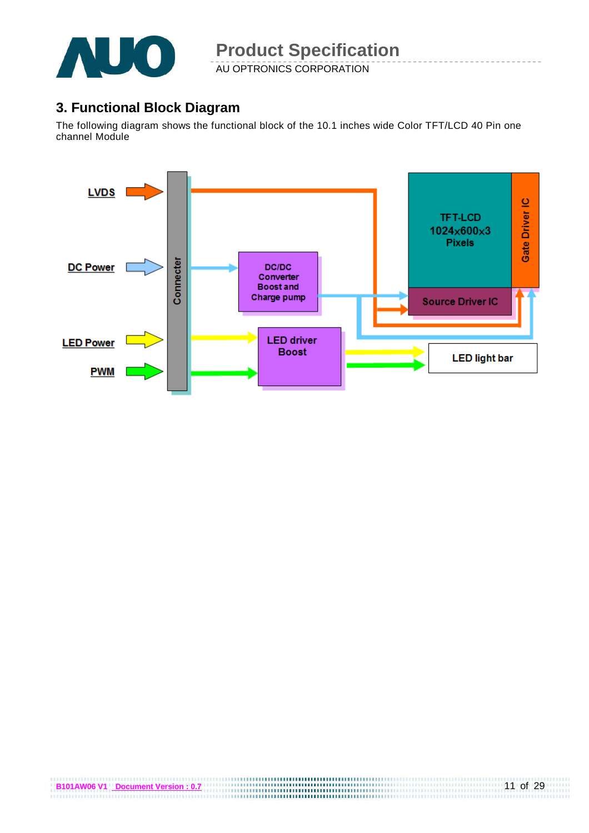

AU OPTRONICS CORPORATION

### **3. Functional Block Diagram**

The following diagram shows the functional block of the 10.1 inches wide Color TFT/LCD 40 Pin one channel Module

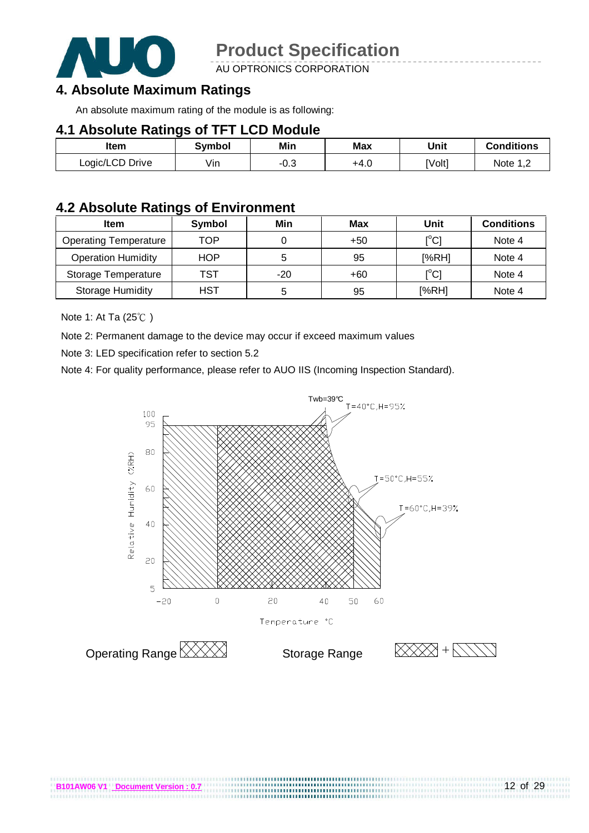

AU OPTRONICS CORPORATION

### **4. Absolute Maximum Ratings**

An absolute maximum rating of the module is as following:

#### **4.1 Absolute Ratings of TFT LCD Module**

| Item            | Symbol | Min  | Max  | Unit   | Conditions |
|-----------------|--------|------|------|--------|------------|
| Logic/LCD Drive | Vin    | -u.u | +4.0 | [Volt] | Note 1 C   |

### **4.2 Absolute Ratings of Environment**

| <b>Item</b>                  | Symbol     | Min   | Max   | Unit                                    | <b>Conditions</b> |
|------------------------------|------------|-------|-------|-----------------------------------------|-------------------|
| <b>Operating Temperature</b> | TOP        |       | $+50$ | $\mathsf{I}^\circ\mathsf{C} \mathsf{I}$ | Note 4            |
| <b>Operation Humidity</b>    | <b>HOP</b> | ა     | 95    | [%RH]                                   | Note 4            |
| Storage Temperature          | TST        | $-20$ | +60   | $\mathsf{I}^\circ\mathsf{C} \mathsf{I}$ | Note 4            |
| <b>Storage Humidity</b>      | HST        | b     | 95    | [%RH]                                   | Note 4            |

Note 1: At Ta (25℃ )

Note 2: Permanent damage to the device may occur if exceed maximum values

Note 3: LED specification refer to section 5.2

Note 4: For quality performance, please refer to AUO IIS (Incoming Inspection Standard).



..................................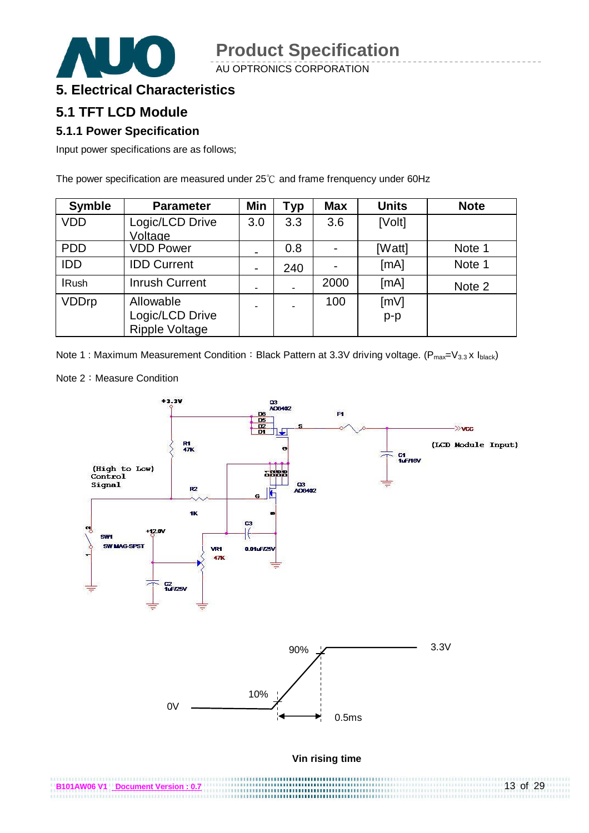AU OPTRONICS CORPORATION



### **5. Electrical Characteristics**

### **5.1 TFT LCD Module**

#### **5.1.1 Power Specification**

Input power specifications are as follows;

The power specification are measured under 25℃ and frame frenquency under 60Hz

| <b>Symble</b> | <b>Parameter</b>                                      | Min            | Typ | <b>Max</b>     | <b>Units</b>  | <b>Note</b> |
|---------------|-------------------------------------------------------|----------------|-----|----------------|---------------|-------------|
| <b>VDD</b>    | Logic/LCD Drive<br>Voltage                            | 3.0            | 3.3 | 3.6            | [Volt]        |             |
| <b>PDD</b>    | <b>VDD Power</b>                                      | $\blacksquare$ | 0.8 |                | [Watt]        | Note 1      |
| <b>IDD</b>    | <b>IDD Current</b>                                    | $\blacksquare$ | 240 | $\blacksquare$ | [mA]          | Note 1      |
| <b>IRush</b>  | <b>Inrush Current</b>                                 | ٠              |     | 2000           | [mA]          | Note 2      |
| <b>VDDrp</b>  | Allowable<br>Logic/LCD Drive<br><b>Ripple Voltage</b> | ٠              |     | 100            | [mV]<br>$p-p$ |             |

Note 1 : Maximum Measurement Condition: Black Pattern at 3.3V driving voltage. ( $P_{max}=V_{3.3}$  x  $I_{black}$ )

Note 2: Measure Condition

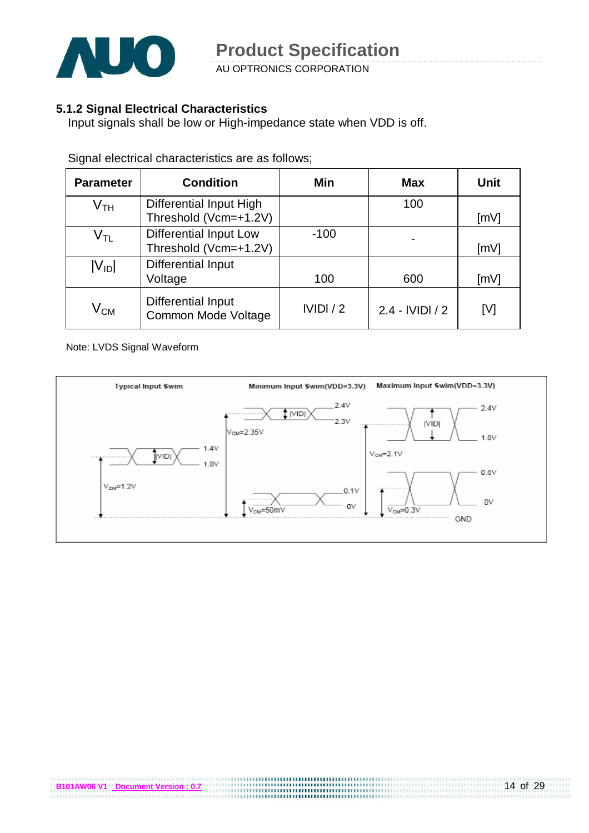

AU OPTRONICS CORPORATION

#### **5.1.2 Signal Electrical Characteristics**

Input signals shall be low or High-impedance state when VDD is off.

| <b>Parameter</b>           | <b>Condition</b>                                        | Min     | <b>Max</b>        | Unit |
|----------------------------|---------------------------------------------------------|---------|-------------------|------|
| $\mathsf{V}_{\mathsf{TH}}$ | <b>Differential Input High</b><br>Threshold (Vcm=+1.2V) |         | 100               | [mV] |
| $\mathsf{V}_{\mathsf{TL}}$ | <b>Differential Input Low</b><br>Threshold (Vcm=+1.2V)  | $-100$  |                   | [mV] |
| $ V_{ID} $                 | <b>Differential Input</b><br>Voltage                    | 100     | 600               | [mV] |
| $\rm V_{CM}$               | <b>Differential Input</b><br>Common Mode Voltage        | IVIDI/2 | $2.4 - IVIDI / 2$ | [V]  |

Signal electrical characteristics are as follows;

Note: LVDS Signal Waveform

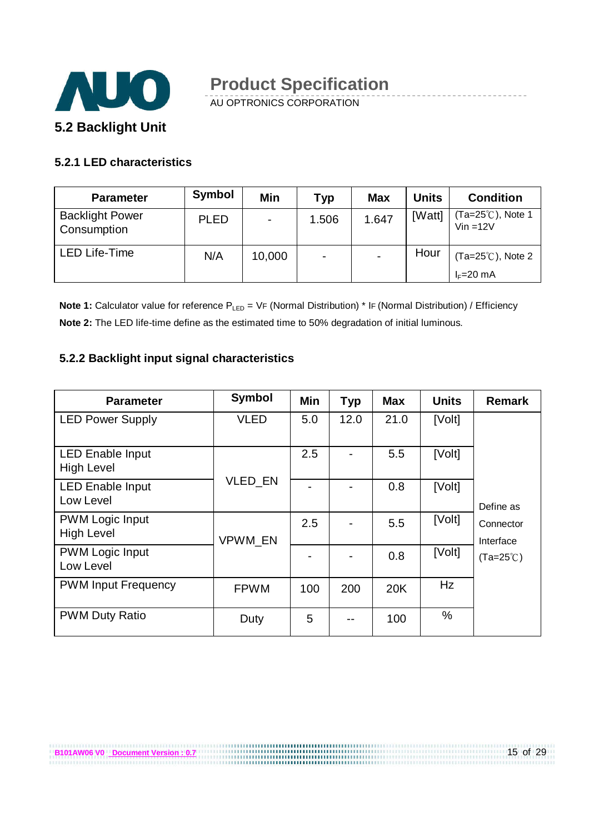

AU OPTRONICS CORPORATION

#### **5.2.1 LED characteristics**

| <b>Parameter</b>                      | <b>Symbol</b> | <b>Min</b> | Typ   | <b>Max</b> | <b>Units</b> | <b>Condition</b>                           |
|---------------------------------------|---------------|------------|-------|------------|--------------|--------------------------------------------|
| <b>Backlight Power</b><br>Consumption | <b>PLED</b>   | ۰          | 1.506 | 1.647      | [Watt]       | (Ta=25℃), Note 1<br>$Vin = 12V$            |
| <b>LED Life-Time</b>                  | N/A           | 10,000     | ۰     |            | Hour         | $(Ta=25^{\circ}C)$ , Note 2<br>$I_F=20$ mA |

**Note 1:** Calculator value for reference P<sub>LED</sub> = VF (Normal Distribution) \* IF (Normal Distribution) / Efficiency **Note 2:** The LED life-time define as the estimated time to 50% degradation of initial luminous.

#### **5.2.2 Backlight input signal characteristics**

**B101AW06 V0** Document Version : 0.7

| <b>Parameter</b>                             | <b>Symbol</b> | Min | <b>Typ</b> | <b>Max</b> | <b>Units</b> | <b>Remark</b>          |
|----------------------------------------------|---------------|-----|------------|------------|--------------|------------------------|
| <b>LED Power Supply</b>                      | <b>VLED</b>   | 5.0 | 12.0       | 21.0       | [Volt]       |                        |
| <b>LED Enable Input</b><br><b>High Level</b> |               | 2.5 |            | 5.5        | [Volt]       |                        |
| <b>LED Enable Input</b><br>Low Level         | VLED_EN       |     |            | 0.8        | [Volt]       | Define as              |
| <b>PWM Logic Input</b><br><b>High Level</b>  | VPWM_EN       | 2.5 |            | 5.5        | [Volt]       | Connector<br>Interface |
| <b>PWM Logic Input</b><br>Low Level          |               |     |            | 0.8        | [Volt]       | $(Ta=25^{\circ}C)$     |
| <b>PWM Input Frequency</b>                   | <b>FPWM</b>   | 100 | 200        | 20K        | Hz           |                        |
| <b>PWM Duty Ratio</b>                        | Duty          | 5   |            | 100        | $\%$         |                        |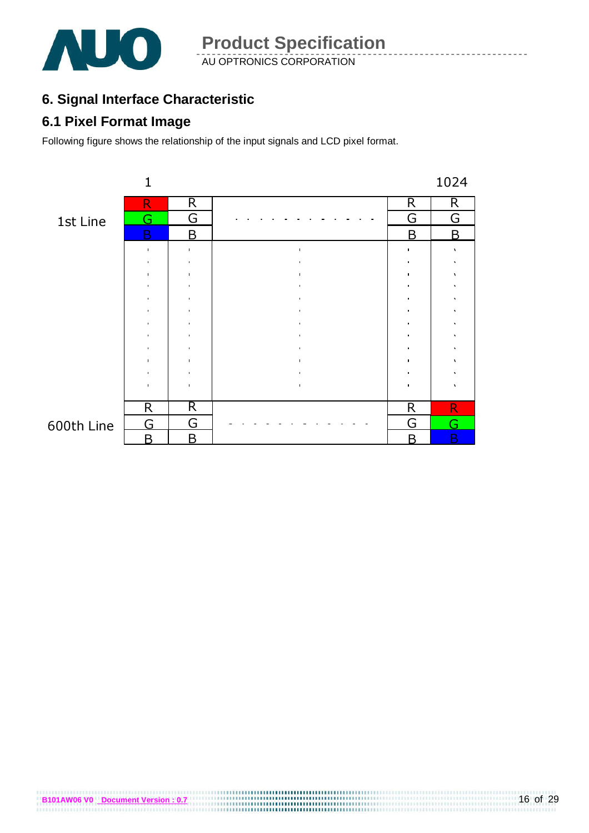

AU OPTRONICS CORPORATION **Product Specification** 

### **6. Signal Interface Characteristic**

### **6.1 Pixel Format Image**

Following figure shows the relationship of the input signals and LCD pixel format.



**B101AW06 V0** <u>Document Version : 0.7</u><br> **B101AW06 V0** Document Version : 0.7

### 600th Line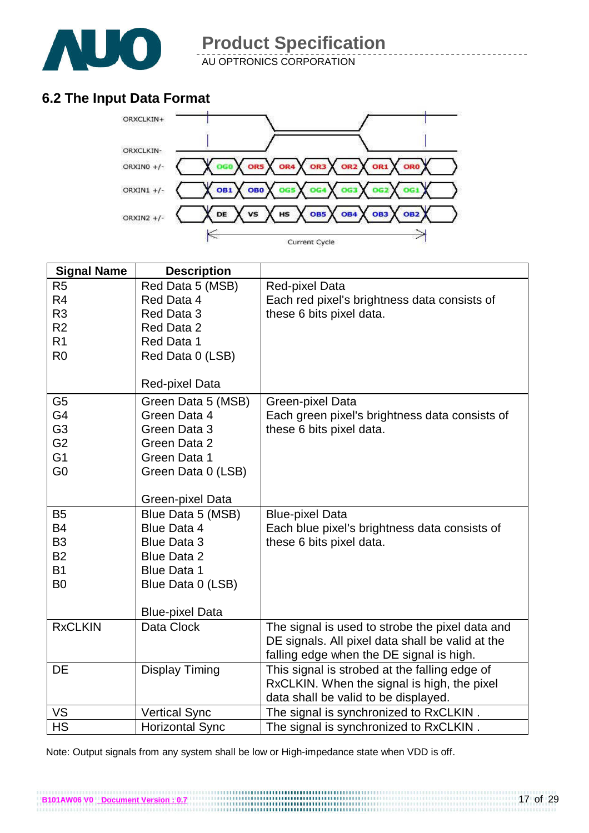

AU OPTRONICS CORPORATION

### **6.2 The Input Data Format**



| <b>Signal Name</b> | <b>Description</b>     |                                                  |
|--------------------|------------------------|--------------------------------------------------|
| R <sub>5</sub>     | Red Data 5 (MSB)       | Red-pixel Data                                   |
| R4                 | Red Data 4             | Each red pixel's brightness data consists of     |
| R <sub>3</sub>     | Red Data 3             | these 6 bits pixel data.                         |
| R <sub>2</sub>     | Red Data 2             |                                                  |
| R <sub>1</sub>     | Red Data 1             |                                                  |
| R <sub>0</sub>     | Red Data 0 (LSB)       |                                                  |
|                    |                        |                                                  |
|                    | <b>Red-pixel Data</b>  |                                                  |
| G <sub>5</sub>     | Green Data 5 (MSB)     | Green-pixel Data                                 |
| G4                 | Green Data 4           | Each green pixel's brightness data consists of   |
| G <sub>3</sub>     | Green Data 3           | these 6 bits pixel data.                         |
| G <sub>2</sub>     | Green Data 2           |                                                  |
| G <sub>1</sub>     | Green Data 1           |                                                  |
| G <sub>0</sub>     | Green Data 0 (LSB)     |                                                  |
|                    |                        |                                                  |
|                    | Green-pixel Data       |                                                  |
| B <sub>5</sub>     | Blue Data 5 (MSB)      | <b>Blue-pixel Data</b>                           |
| <b>B4</b>          | <b>Blue Data 4</b>     | Each blue pixel's brightness data consists of    |
| B <sub>3</sub>     | <b>Blue Data 3</b>     | these 6 bits pixel data.                         |
| <b>B2</b>          | <b>Blue Data 2</b>     |                                                  |
| <b>B1</b>          | <b>Blue Data 1</b>     |                                                  |
| B <sub>0</sub>     | Blue Data 0 (LSB)      |                                                  |
|                    |                        |                                                  |
|                    | <b>Blue-pixel Data</b> |                                                  |
| <b>RxCLKIN</b>     | Data Clock             | The signal is used to strobe the pixel data and  |
|                    |                        | DE signals. All pixel data shall be valid at the |
|                    |                        | falling edge when the DE signal is high.         |
| DE                 | <b>Display Timing</b>  | This signal is strobed at the falling edge of    |
|                    |                        | RxCLKIN. When the signal is high, the pixel      |
|                    |                        | data shall be valid to be displayed.             |
| VS                 | <b>Vertical Sync</b>   | The signal is synchronized to RxCLKIN.           |
| <b>HS</b>          | <b>Horizontal Sync</b> | The signal is synchronized to RxCLKIN.           |

Note: Output signals from any system shall be low or High-impedance state when VDD is off.

**B101AW06 V0** <u>Document Version : 0.7</u><br>**B101AW06 V0** Document Version : 0.7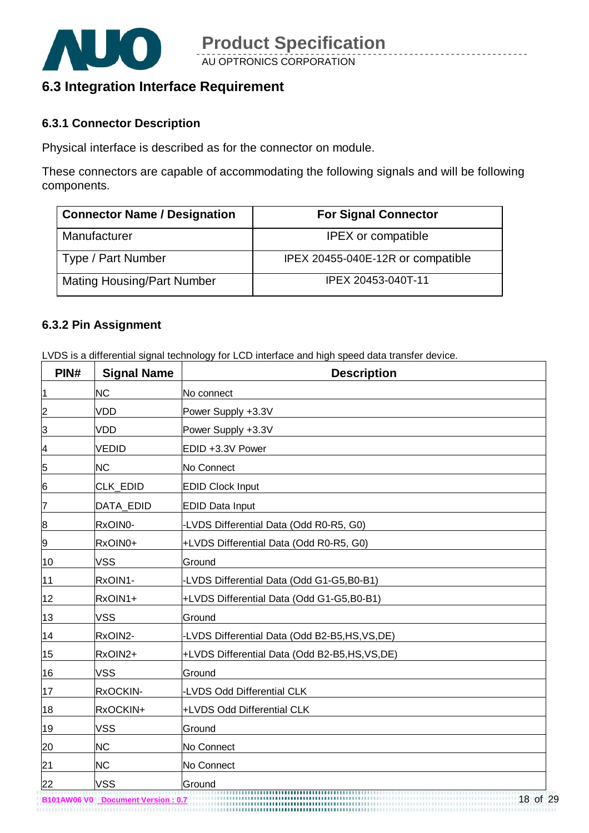

### **6.3 Integration Interface Requirement**

#### **6.3.1 Connector Description**

Physical interface is described as for the connector on module.

These connectors are capable of accommodating the following signals and will be following components.

| <b>Connector Name / Designation</b> | <b>For Signal Connector</b>       |
|-------------------------------------|-----------------------------------|
| Manufacturer                        | <b>IPEX</b> or compatible         |
| Type / Part Number                  | IPEX 20455-040E-12R or compatible |
| <b>Mating Housing/Part Number</b>   | IPEX 20453-040T-11                |

#### **6.3.2 Pin Assignment**

LVDS is a differential signal technology for LCD interface and high speed data transfer device.

| PIN#             | <b>Signal Name</b> | <b>Description</b>                              |
|------------------|--------------------|-------------------------------------------------|
| $\vert$ 1        | <b>NC</b>          | No connect                                      |
| $\overline{2}$   | <b>VDD</b>         | Power Supply +3.3V                              |
| $\overline{3}$   | <b>VDD</b>         | Power Supply +3.3V                              |
| $\overline{a}$   | <b>VEDID</b>       | EDID +3.3V Power                                |
| 5                | <b>NC</b>          | No Connect                                      |
| $6 \overline{6}$ | CLK_EDID           | <b>EDID Clock Input</b>                         |
| 7                | DATA_EDID          | <b>EDID Data Input</b>                          |
| 8                | RxOIN0-            | -LVDS Differential Data (Odd R0-R5, G0)         |
| $\overline{9}$   | RxOIN0+            | +LVDS Differential Data (Odd R0-R5, G0)         |
| 10               | <b>VSS</b>         | Ground                                          |
| 11               | RxOIN1-            | -LVDS Differential Data (Odd G1-G5,B0-B1)       |
| 12               | RxOIN1+            | +LVDS Differential Data (Odd G1-G5,B0-B1)       |
| 13               | <b>VSS</b>         | Ground                                          |
| 14               | RxOIN2-            | -LVDS Differential Data (Odd B2-B5,HS,VS,DE)    |
| 15               | RxOIN2+            | +LVDS Differential Data (Odd B2-B5, HS, VS, DE) |
| 16               | <b>VSS</b>         | Ground                                          |
| 17               | RxOCKIN-           | -LVDS Odd Differential CLK                      |
| 18               | RxOCKIN+           | +LVDS Odd Differential CLK                      |
| 19               | <b>VSS</b>         | Ground                                          |
| 20               | <b>NC</b>          | No Connect                                      |
| $\frac{21}{1}$   | <b>NC</b>          | No Connect                                      |
| 22               | <b>VSS</b>         | Ground                                          |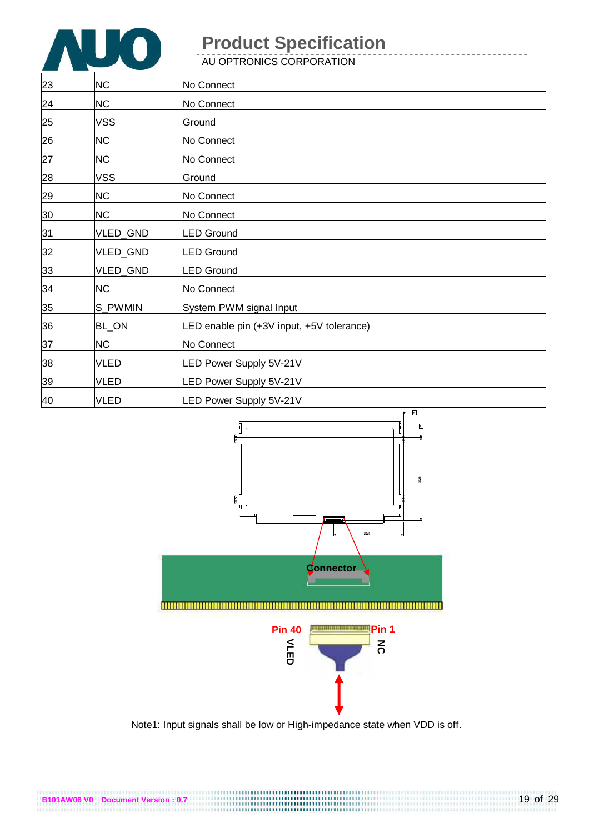

AU OPTRONICS CORPORATION

| 23 | <b>NC</b>   | No Connect                                |
|----|-------------|-------------------------------------------|
| 24 | <b>NC</b>   | No Connect                                |
| 25 | <b>VSS</b>  | Ground                                    |
| 26 | <b>NC</b>   | No Connect                                |
| 27 | <b>NC</b>   | No Connect                                |
| 28 | <b>VSS</b>  | Ground                                    |
| 29 | <b>NC</b>   | No Connect                                |
| 30 | <b>NC</b>   | No Connect                                |
| 31 | VLED_GND    | LED Ground                                |
| 32 | VLED_GND    | <b>LED Ground</b>                         |
| 33 | VLED_GND    | LED Ground                                |
| 34 | <b>NC</b>   | No Connect                                |
| 35 | S PWMIN     | System PWM signal Input                   |
| 36 | BL_ON       | LED enable pin (+3V input, +5V tolerance) |
| 37 | <b>NC</b>   | No Connect                                |
| 38 | <b>VLED</b> | LED Power Supply 5V-21V                   |
| 39 | <b>VLED</b> | LED Power Supply 5V-21V                   |
| 40 | <b>VLED</b> | LED Power Supply 5V-21V                   |



Note1: Input signals shall be low or High-impedance state when VDD is off.

**B101AW06 V0** Document Version : 0.7<br>**B101AW06 V0** Document Version : 0.7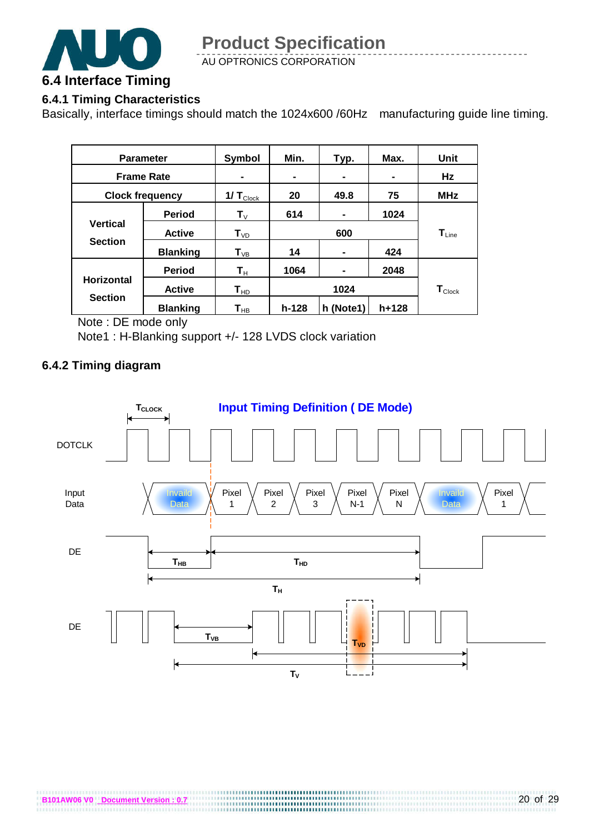

### **6.4.1 Timing Characteristics**

Basically, interface timings should match the 1024x600 /60Hz manufacturing guide line timing.

| <b>Parameter</b>       |                 | Symbol                     | Min.                                               | Typ.      | Max.  | Unit                        |  |
|------------------------|-----------------|----------------------------|----------------------------------------------------|-----------|-------|-----------------------------|--|
| <b>Frame Rate</b>      |                 |                            | $\blacksquare$<br>$\blacksquare$<br>$\blacksquare$ |           |       | Hz                          |  |
| <b>Clock frequency</b> |                 | 1/ $T_{\text{Clock}}$      | 20<br>49.8                                         |           | 75    | <b>MHz</b>                  |  |
|                        | <b>Period</b>   | $\mathbf{T}_{\vee}$        | 614                                                |           | 1024  |                             |  |
| <b>Vertical</b>        | <b>Active</b>   | $T_{VD}$                   | 600                                                |           |       | $T_{Line}$                  |  |
| <b>Section</b>         | <b>Blanking</b> | $T_{VB}$                   | 14                                                 | -         | 424   |                             |  |
| <b>Horizontal</b>      | <b>Period</b>   | $\mathsf{T}_\mathsf{H}$    | 1064                                               |           | 2048  |                             |  |
|                        | <b>Active</b>   | $\mathsf{T}_{\mathsf{HD}}$ | 1024                                               |           |       | $\mathbf{T}_{\text{Clock}}$ |  |
| <b>Section</b>         | <b>Blanking</b> | $\mathbf{T}_{\mathsf{HB}}$ | $h-128$                                            | h (Note1) | h+128 |                             |  |

Note : DE mode only

Note1 : H-Blanking support +/- 128 LVDS clock variation

#### **6.4.2 Timing diagram**

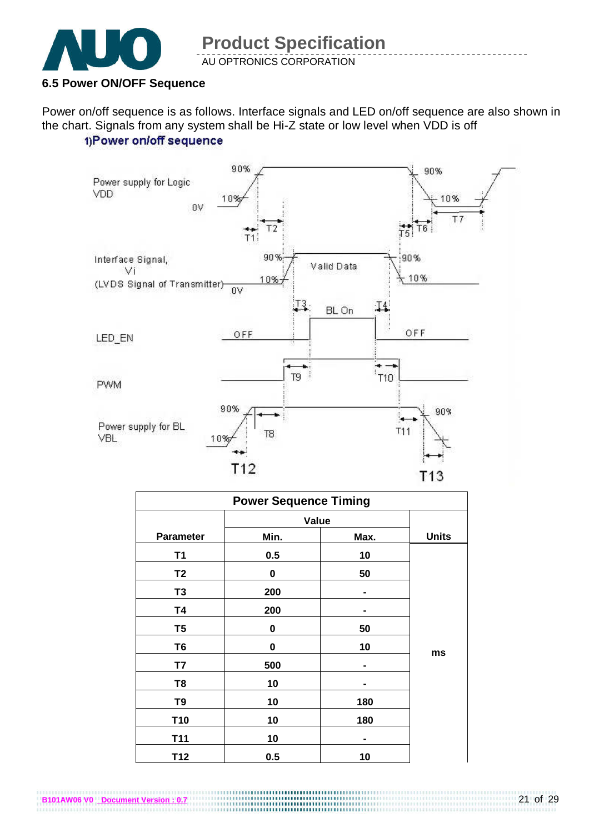

#### **6.5 Power ON/OFF Sequence**

**B101AW06 V0 Document Version : 0.7**

Power on/off sequence is as follows. Interface signals and LED on/off sequence are also shown in the chart. Signals from any system shall be Hi-Z state or low level when VDD is off 1)Power on/off sequence



|                  | <b>Power Sequence Timing</b> |      |              |
|------------------|------------------------------|------|--------------|
|                  | Value                        |      |              |
| <b>Parameter</b> | Min.                         | Max. | <b>Units</b> |
| T1               | 0.5                          | 10   |              |
| T <sub>2</sub>   | $\bf{0}$                     | 50   |              |
| T <sub>3</sub>   | 200                          |      |              |
| <b>T4</b>        | 200                          |      |              |
| T <sub>5</sub>   | 0                            | 50   |              |
| T <sub>6</sub>   | 0                            | 10   |              |
| T7               | 500                          |      | ms           |
| T <sub>8</sub>   | 10                           |      |              |
| T <sub>9</sub>   | 10                           | 180  |              |
| T <sub>10</sub>  | 10                           | 180  |              |
| T11              | 10                           | -    |              |
| T <sub>12</sub>  | 0.5                          | 10   |              |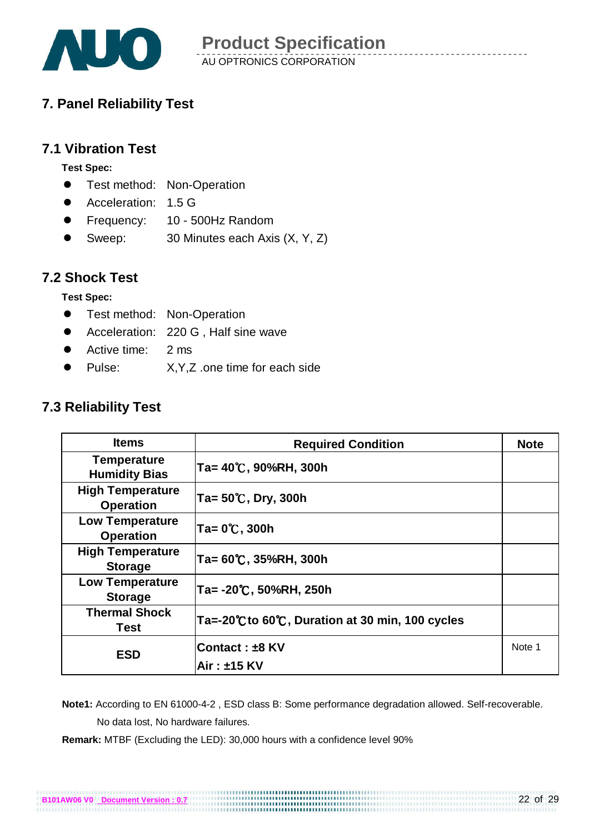

### **7. Panel Reliability Test**

### **7.1 Vibration Test**

**Test Spec:** 

- **•** Test method: Non-Operation
- Acceleration: 1.5 G
- Frequency: 10 500Hz Random
- Sweep: 30 Minutes each Axis (X, Y, Z)

#### **7.2 Shock Test**

**Test Spec:** 

- **•** Test method: Non-Operation
- Acceleration: 220 G . Half sine wave
- Active time: 2 ms
- Pulse: X,Y,Z .one time for each side

### **7.3 Reliability Test**

| <b>Items</b>                                | <b>Required Condition</b>                     | <b>Note</b> |
|---------------------------------------------|-----------------------------------------------|-------------|
| <b>Temperature</b><br><b>Humidity Bias</b>  | Ta= 40℃, 90%RH, 300h                          |             |
| <b>High Temperature</b><br><b>Operation</b> | $Ta = 50^{\circ}$ C, Dry, 300h                |             |
| <b>Low Temperature</b><br><b>Operation</b>  | Ta= 0℃, 300h                                  |             |
| <b>High Temperature</b><br><b>Storage</b>   | Ta= 60°C, 35%RH, 300h                         |             |
| <b>Low Temperature</b><br><b>Storage</b>    | Ta= -20℃, 50%RH, 250h                         |             |
| <b>Thermal Shock</b><br>Test                | Ta=-20℃to 60℃, Duration at 30 min, 100 cycles |             |
| <b>ESD</b>                                  | Contact: ±8 KV<br>Air: ±15 KV                 | Note 1      |

 **Note1:** According to EN 61000-4-2 , ESD class B: Some performance degradation allowed. Self-recoverable. No data lost, No hardware failures.

**Remark:** MTBF (Excluding the LED): 30,000 hours with a confidence level 90%

**B101AW06 V0 Document Version : 0.7**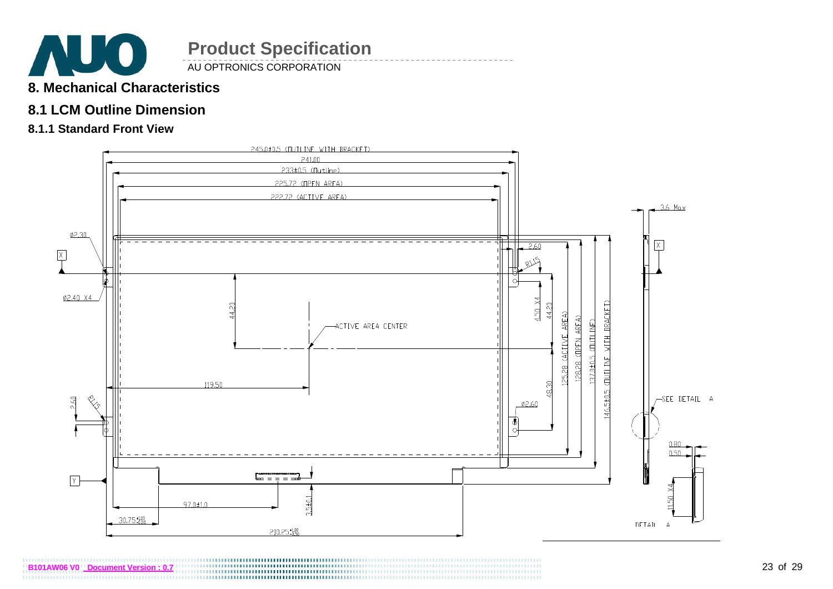

AU OPTRONICS CORPORATION

- **8. Mechanical Characteristics**
- **8.1 LCM Outline Dimension**
- **8.1.1 Standard Front View**



**B101AW06 V0 Document Version : 0.7**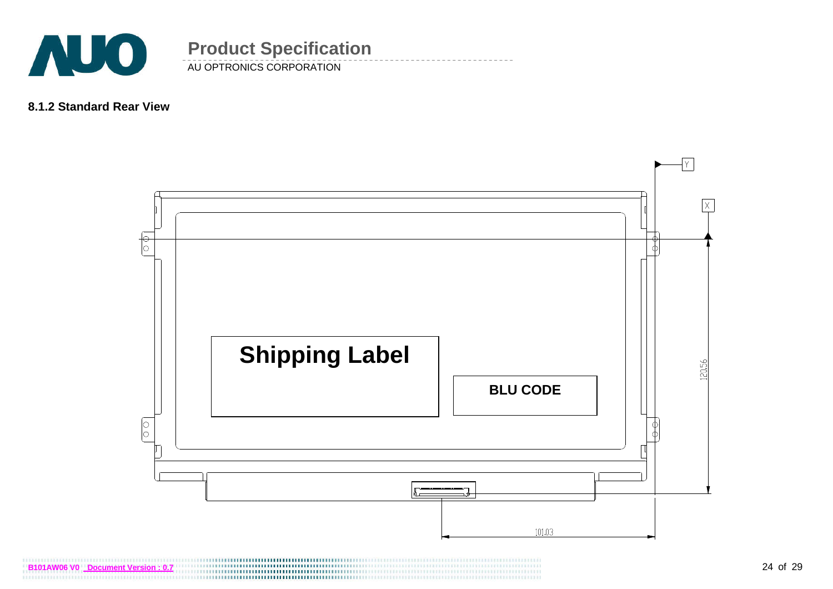

#### **8.1.2 Standard Rear View**



**B101AW06 V0** Document Version : 0.7 

AU OPTRONICS CORPORATION

**Product Specification**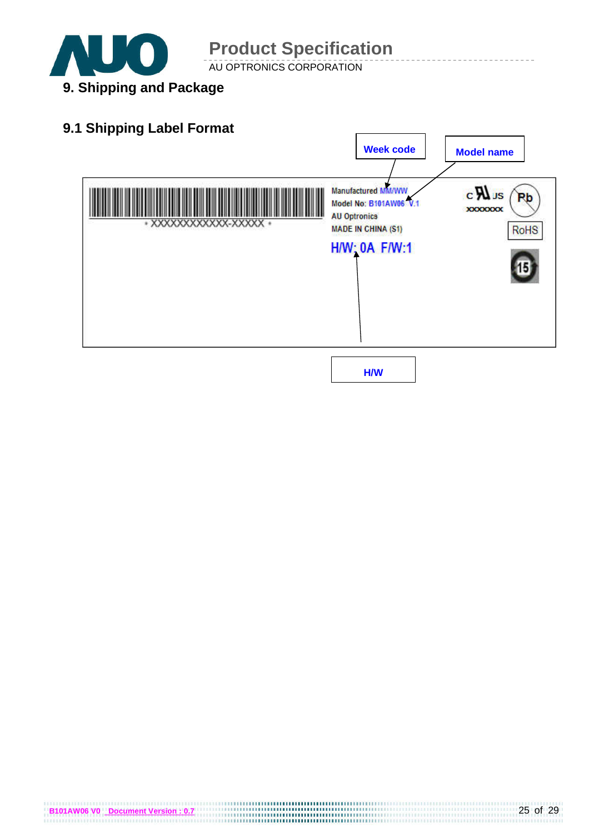

AU OPTRONICS CORPORATION



**B101AW06 V0** Document Version : 0.7<br>**B101AW06 V0** Document Version : 0.7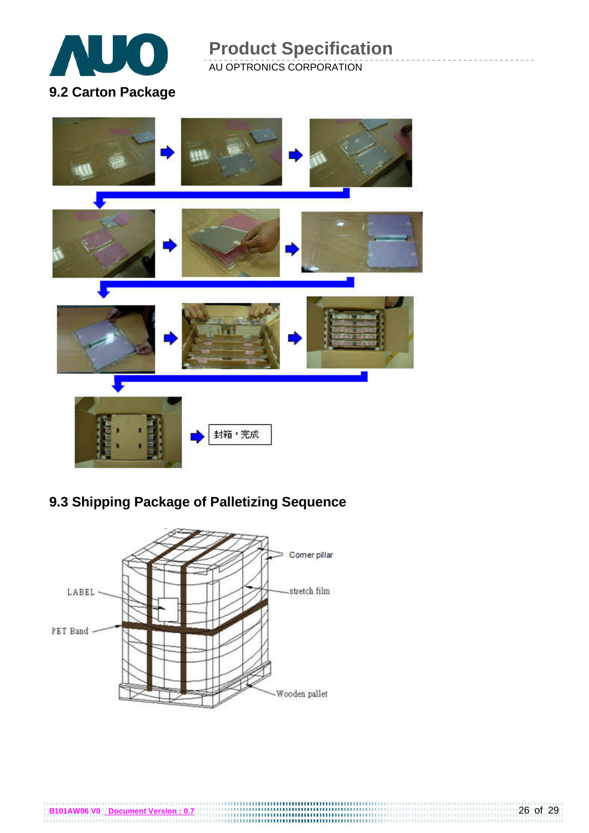

AU OPTRONICS CORPORATION



### **9.3 Shipping Package of Palletizing Sequence**



**B101AW06 V0** Document Version : 0.7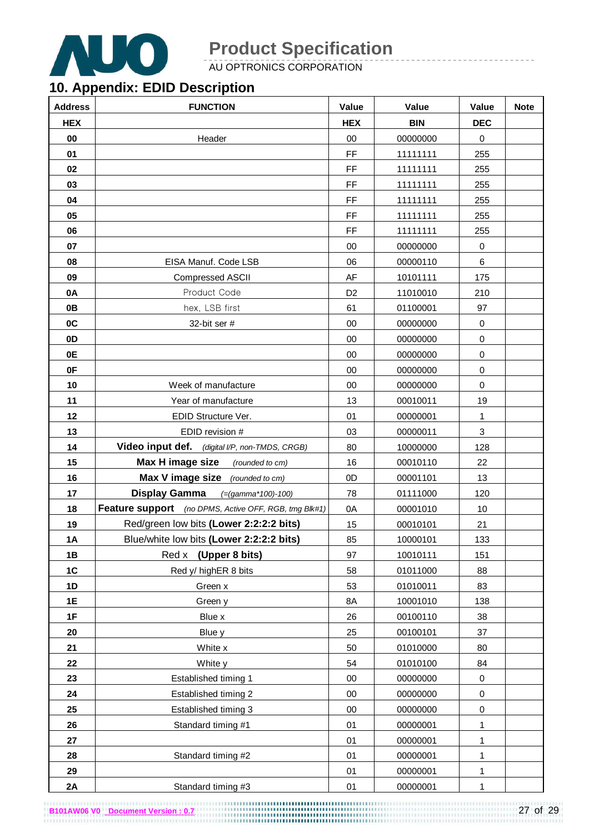

AU OPTRONICS CORPORATION

### **10. Appendix: EDID Description**

| <b>Address</b> | <b>FUNCTION</b>                                       | Value          | Value      | Value        | <b>Note</b> |
|----------------|-------------------------------------------------------|----------------|------------|--------------|-------------|
| <b>HEX</b>     |                                                       | <b>HEX</b>     | <b>BIN</b> | <b>DEC</b>   |             |
| 00             | Header                                                | 00             | 00000000   | $\mathbf 0$  |             |
| 01             |                                                       | FF             | 11111111   | 255          |             |
| 02             |                                                       | FF             | 11111111   | 255          |             |
| 03             |                                                       | FF             | 11111111   | 255          |             |
| 04             |                                                       | FF             | 11111111   | 255          |             |
| 05             |                                                       | FF             | 11111111   | 255          |             |
| 06             |                                                       | FF             | 11111111   | 255          |             |
| 07             |                                                       | 00             | 00000000   | $\pmb{0}$    |             |
| 08             | EISA Manuf. Code LSB                                  | 06             | 00000110   | 6            |             |
| 09             | <b>Compressed ASCII</b>                               | AF             | 10101111   | 175          |             |
| 0A             | Product Code                                          | D <sub>2</sub> | 11010010   | 210          |             |
| 0B             | hex, LSB first                                        | 61             | 01100001   | 97           |             |
| 0C             | 32-bit ser #                                          | 00             | 00000000   | 0            |             |
| 0 <sub>D</sub> |                                                       | 00             | 00000000   | $\mathbf 0$  |             |
| 0E             |                                                       | 00             | 00000000   | 0            |             |
| 0F             |                                                       | 00             | 00000000   | $\mathbf 0$  |             |
| 10             | Week of manufacture                                   | 00             | 00000000   | $\mathbf 0$  |             |
| 11             | Year of manufacture                                   | 13             | 00010011   | 19           |             |
| 12             | EDID Structure Ver.                                   | 01             | 00000001   | $\mathbf{1}$ |             |
| 13             | EDID revision #                                       | 03             | 00000011   | 3            |             |
| 14             | Video input def. (digital I/P, non-TMDS, CRGB)        | 80             | 10000000   | 128          |             |
| 15             | Max H image size<br>(rounded to cm)                   | 16             | 00010110   | 22           |             |
| 16             | Max V image size (rounded to cm)                      | 0D             | 00001101   | 13           |             |
| 17             | Display Gamma<br>$( = (gamma * 100) - 100)$           | 78             | 01111000   | 120          |             |
| 18             | Feature support (no DPMS, Active OFF, RGB, tmg Blk#1) | 0A             | 00001010   | 10           |             |
| 19             | Red/green low bits (Lower 2:2:2:2 bits)               | 15             | 00010101   | 21           |             |
| <b>1A</b>      | Blue/white low bits (Lower 2:2:2:2 bits)              | 85             | 10000101   | 133          |             |
| 1B             | (Upper 8 bits)<br>Red x                               | 97             | 10010111   | 151          |             |
| 1C             | Red y/ highER 8 bits                                  | 58             | 01011000   | 88           |             |
| 1D             | Green x                                               | 53             | 01010011   | 83           |             |
| 1E             | Green y                                               | 8A             | 10001010   | 138          |             |
| 1F             | Blue x                                                | 26             | 00100110   | 38           |             |
| 20             | Blue y                                                | 25             | 00100101   | 37           |             |
| 21             | White x                                               | 50             | 01010000   | 80           |             |
| 22             | White y                                               | 54             | 01010100   | 84           |             |
| 23             | Established timing 1                                  | $00\,$         | 00000000   | $\pmb{0}$    |             |
| 24             | Established timing 2                                  | 00             | 00000000   | 0            |             |
| 25             | Established timing 3                                  | $00\,$         | 00000000   | $\pmb{0}$    |             |
| 26             | Standard timing #1                                    | 01             | 00000001   | $\mathbf{1}$ |             |
| 27             |                                                       | 01             | 00000001   | 1            |             |
| 28             | Standard timing #2                                    | 01             | 00000001   | 1            |             |
| 29             |                                                       | 01             | 00000001   | $\mathbf{1}$ |             |
| 2A             | Standard timing #3                                    | 01             | 00000001   | 1            |             |

**B101AW06 V0** Document Version : 0.7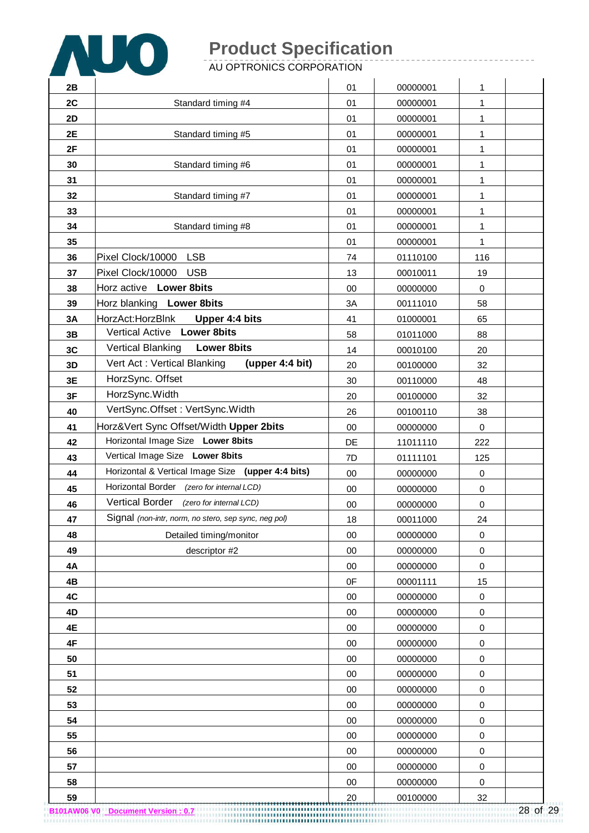

AU OPTRONICS CORPORATION

| 2B |                                                      | 01 | 00000001 | 1                |  |
|----|------------------------------------------------------|----|----------|------------------|--|
| 2C | Standard timing #4                                   | 01 | 00000001 | 1                |  |
| 2D |                                                      | 01 | 00000001 | 1                |  |
| 2E | Standard timing #5                                   | 01 | 00000001 | 1                |  |
| 2F |                                                      | 01 | 00000001 | 1                |  |
| 30 | Standard timing #6                                   | 01 | 00000001 | 1                |  |
| 31 |                                                      | 01 | 00000001 | 1                |  |
| 32 | Standard timing #7                                   | 01 | 00000001 | 1                |  |
| 33 |                                                      | 01 | 00000001 | 1                |  |
| 34 | Standard timing #8                                   | 01 | 00000001 | 1                |  |
| 35 |                                                      | 01 | 00000001 | 1                |  |
| 36 | Pixel Clock/10000<br><b>LSB</b>                      | 74 | 01110100 | 116              |  |
| 37 | Pixel Clock/10000<br><b>USB</b>                      | 13 | 00010011 | 19               |  |
| 38 | Horz active Lower 8bits                              | 00 | 00000000 | $\mathbf 0$      |  |
| 39 | Horz blanking Lower 8bits                            | 3A | 00111010 | 58               |  |
| 3A | HorzAct:HorzBlnk<br>Upper 4:4 bits                   | 41 | 01000001 | 65               |  |
| 3B | Vertical Active Lower 8bits                          | 58 | 01011000 | 88               |  |
| 3C | <b>Vertical Blanking</b><br><b>Lower 8bits</b>       | 14 | 00010100 | 20               |  |
| 3D | Vert Act: Vertical Blanking<br>(upper 4:4 bit)       | 20 | 00100000 | 32               |  |
| 3E | HorzSync. Offset                                     | 30 | 00110000 | 48               |  |
| 3F | HorzSync.Width                                       | 20 | 00100000 | 32               |  |
| 40 | VertSync.Offset: VertSync.Width                      | 26 | 00100110 | 38               |  |
| 41 | Horz‖ Sync Offset/Width Upper 2bits                  | 00 | 00000000 | $\mathbf 0$      |  |
| 42 | Horizontal Image Size Lower 8bits                    | DE | 11011110 | 222              |  |
| 43 | Vertical Image Size Lower 8bits                      | 7D | 01111101 | 125              |  |
| 44 | Horizontal & Vertical Image Size (upper 4:4 bits)    | 00 | 00000000 | $\mathbf 0$      |  |
| 45 | Horizontal Border (zero for internal LCD)            | 00 | 00000000 | $\mathbf 0$      |  |
| 46 | Vertical Border (zero for internal LCD)              | 00 | 00000000 | $\boldsymbol{0}$ |  |
| 47 | Signal (non-intr, norm, no stero, sep sync, neg pol) | 18 | 00011000 | 24               |  |
| 48 | Detailed timing/monitor                              | 00 | 00000000 | $\mathbf 0$      |  |
| 49 | descriptor #2                                        | 00 | 00000000 | $\mathbf 0$      |  |
| 4A |                                                      | 00 | 00000000 | $\pmb{0}$        |  |
| 4B |                                                      | 0F | 00001111 | 15               |  |
| 4C |                                                      | 00 | 00000000 | $\pmb{0}$        |  |
| 4D |                                                      | 00 | 00000000 | $\pmb{0}$        |  |
| 4E |                                                      | 00 | 00000000 | $\mathbf 0$      |  |
| 4F |                                                      | 00 | 00000000 | $\pmb{0}$        |  |
| 50 |                                                      | 00 | 00000000 | $\pmb{0}$        |  |
| 51 |                                                      | 00 | 00000000 | $\pmb{0}$        |  |
| 52 |                                                      | 00 | 00000000 | $\boldsymbol{0}$ |  |
| 53 |                                                      | 00 | 00000000 | $\mathbf 0$      |  |
| 54 |                                                      | 00 | 00000000 | $\pmb{0}$        |  |
| 55 |                                                      | 00 | 00000000 | $\pmb{0}$        |  |
| 56 |                                                      | 00 | 00000000 | $\pmb{0}$        |  |
| 57 |                                                      | 00 | 00000000 | $\boldsymbol{0}$ |  |
| 58 |                                                      | 00 | 00000000 | 0                |  |
| 59 |                                                      | 20 | 00100000 | 32               |  |

28 of 29 **B101AW06 V0 Document Version : 0.7**